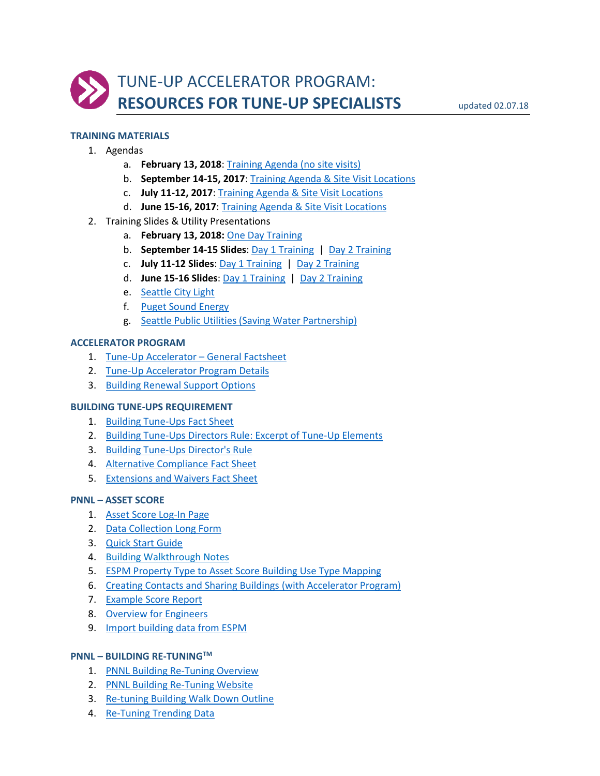

# **TRAINING MATERIALS**

- 1. Agendas
	- a. **February 13, 2018**[: Training Agenda \(no site visits\)](http://www.seattle.gov/Documents/Departments/OSE/accelerator/TrainingAgenda_Feb2018.pdf)
	- b. **September 14-15, 2017**[: Training Agenda & Site Visit Locations](http://www.seattle.gov/Documents/Departments/OSE/accelerator/TrainingAgenda_Sept2017.pdf)
	- c. **July 11-12, 2017**[: Training Agenda & Site Visit Locations](http://www.seattle.gov/Documents/Departments/OSE/accelerator/TrainingAgenda_July2017.pdf)
	- d. **June 15-16, 2017**: [Training Agenda & Site Visit Locations](http://www.seattle.gov/Documents/Departments/OSE/accelerator/Training%20Agenda_6122017.pdf)
- 2. Training Slides & Utility Presentations
	- a. **February 13, 2018:** [One Day Training](http://www.seattle.gov/Documents/Departments/OSE/accelerator/TUATraining_02.13.18.pdf)
	- b. **September 14-15 Slides**: [Day 1 Training](http://www.seattle.gov/Documents/Departments/OSE/accelerator/TUATrainingDay1_09.14.17.pdf) | [Day 2 Training](http://www.seattle.gov/Documents/Departments/OSE/accelerator/TUATrainingDay2_09.15.17.pdf)
	- c. **July 11-12 Slides**: [Day 1 Training](http://www.seattle.gov/Documents/Departments/OSE/accelerator/TUATrainingDay1_07.11.17.pdf) | [Day 2 Training](http://www.seattle.gov/Documents/Departments/OSE/accelerator/TUATrainingDay2_07.12.17.pdf)
	- d. **June 15-16 Slides**[: Day 1 Training](http://www.seattle.gov/Documents/Departments/OSE/accelerator/TUATrainingDay1_06.15.17.pdf) | [Day 2 Training](http://www.seattle.gov/Documents/Departments/OSE/accelerator/TUATrainingDay2_06.16.17.pdf)
	- e. [Seattle City Light](http://www.seattle.gov/Documents/Departments/OSE/accelerator/SCL_TuneUp_Accelerator_Incentives.pdf)
	- f. [Puget Sound Energy](http://www.seattle.gov/Documents/Departments/OSE/accelerator/Accelerator_Training_PSE.pdf)
	- g. [Seattle Public Utilities \(Saving Water Partnership\)](http://www.seattle.gov/Documents/Departments/OSE/accelerator/SPUforTuneUp.pdf)

#### **ACCELERATOR PROGRAM**

- 1. [Tune-Up Accelerator –](http://www.seattle.gov/Documents/Departments/OSE/Accelerator/TUA-Info-Sheet.pdf) General Factsheet
- 2. [Tune-Up Accelerator Program Details](http://www.seattle.gov/Documents/Departments/OSE/Accelerator/TUA_Detail_Overview.pdf)
- 3. [Building Renewal Support Options](http://www.seattle.gov/Documents/Departments/OSE/Accelerator/TUA_BuildingRenewal.pdf)

#### **BUILDING TUNE-UPS REQUIREMENT**

- 1. [Building Tune-Ups Fact Sheet](http://www.seattle.gov/Documents/Departments/OSE/OSE_BTU_FACT_SHEET_101117.pdf)
- 2. [Building Tune-Ups Directors Rule:](http://www.seattle.gov/Documents/Departments/OSE/accelerator/OSE-DR-2016-01_TUElements-Excerpt.pdf) Excerpt of Tune-Up Elements
- 3. [Building Tune-Ups Director's Rule](http://www.seattle.gov/Documents/Departments/OSE/OSE_DIRECTORS_RULE_2016-01.pdf)
- 4. [Alternative Compliance](http://www.seattle.gov/Documents/Departments/OSE/OSE_BTU_PATHWAYS(0).pdf) Fact Sheet
- 5. [Extensions and Waivers Fact Sheet](http://www.seattle.gov/Documents/Departments/OSE/OSE_BTU_WAIVERS(0).pdf)

### **PNNL – ASSET SCORE**

- 1. [Asset Score Log-In Page](https://buildingenergyscore.energy.gov/)
- 2. [Data Collection Long Form](https://buildingenergyscore.energy.gov/documents/energy_asset_score_data_collection_form_full_long.pdf)
- 3. [Quick Start Guide](https://buildingenergyscore.energy.gov/documents/asset_score_quick_start_guide.pdf)
- 4. [Building Walkthrough Notes](http://www.seattle.gov/Documents/Departments/OSE/accelerator/Asset_Score_building_walkthrough_notes.pdf)
- 5. [ESPM Property Type to Asset Score Building Use Type Mapping](http://www.seattle.gov/Documents/Departments/OSE/accelerator/Asset_Score_use_type_mapping.pdf)
- 6. [Creating Contacts and Sharing Buildings](http://www.seattle.gov/Documents/Departments/OSE/accelerator/Asset_Score_contacts_and_sharing.pdf) (with Accelerator Program)
- 7. [Example Score Report](https://buildingenergyscore.energy.gov/documents/example_report.pdf)
- 8. [Overview for Engineers](https://energy.gov/sites/prod/files/2015/05/f22/BEAS%20COs%20engineers%20consultants.pdf)
- 9. [Import building data from ESPM](http://www.seattle.gov/Documents/Departments/OSE/accelerator/Asset_Score_importing_from_ESPM.pdf)

#### **PNNL – BUILDING RE-TUNINGTM**

- 1. [PNNL Building Re-Tuning Overview](http://www.seattle.gov/Documents/Departments/OSE/accelerator/PNNL_Building-Re-tuning.pdf)
- 2. [PNNL Building Re-Tuning Website](http://buildingretuning.pnnl.gov/)
- 3. [Re-tuning Building Walk Down Outline](http://www.seattle.gov/Documents/Departments/OSE/accelerator/PNNL_FieldWalkDownTrainingOutline.pdf)
- 4. [Re-Tuning Trending Data](http://www.seattle.gov/Documents/Departments/OSE/accelerator/PNNL_trending_retuning.pdf)